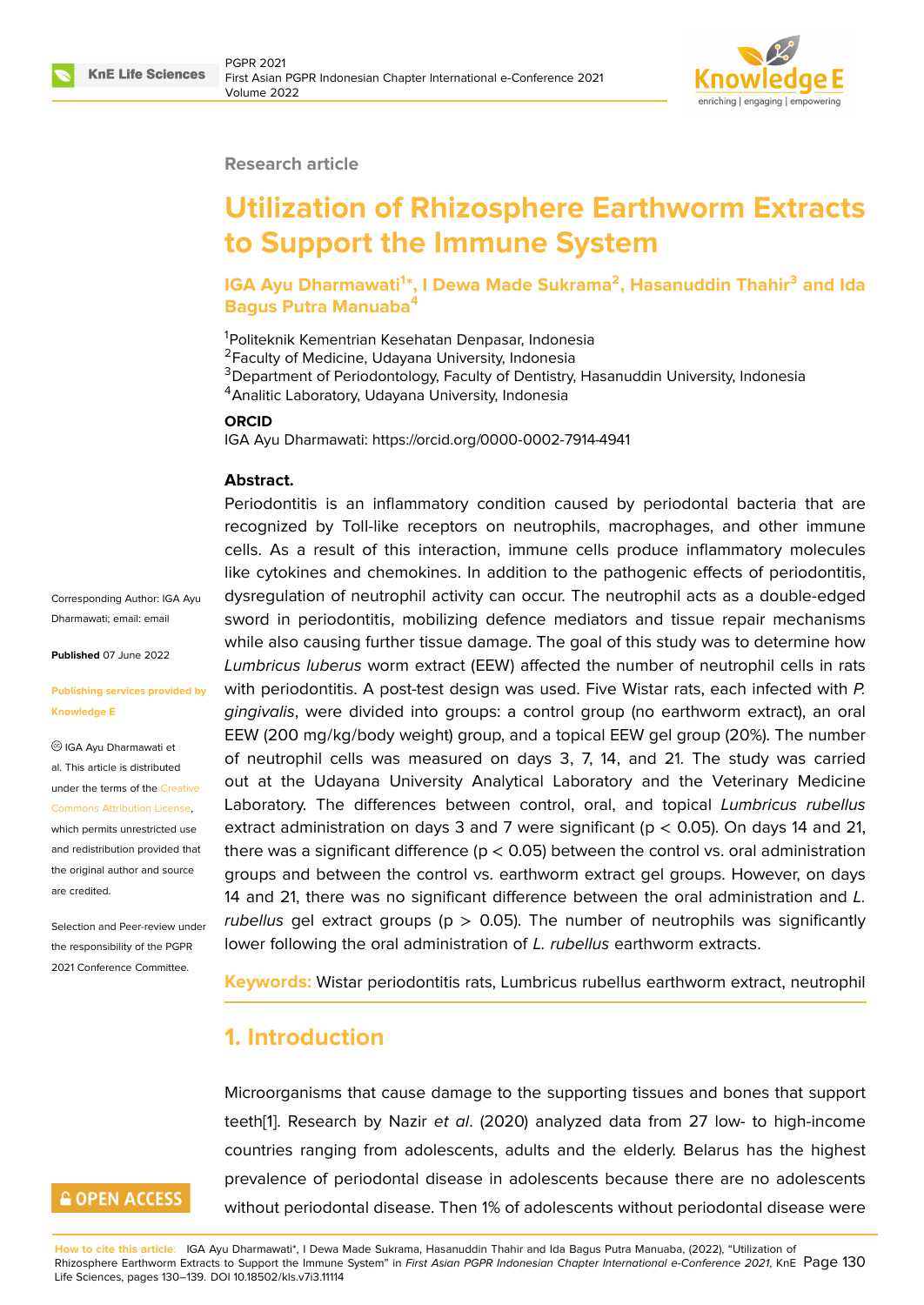

### **Research article**

# **Utilization of Rhizosphere Earthworm Extracts to Support the Immune System**

**IGA Ayu Dharmawati<sup>1</sup> \*, I Dewa Made Sukrama<sup>2</sup> , Hasanuddin Thahir<sup>3</sup> and Ida Bagus Putra Manuaba<sup>4</sup>**

<sup>1</sup>Politeknik Kementrian Kesehatan Denpasar, Indonesia <sup>2</sup>Faculty of Medicine, Udayana University, Indonesia <sup>3</sup>Department of Periodontology, Faculty of Dentistry, Hasanuddin University, Indonesia <sup>4</sup> Analitic Laboratory, Udayana University, Indonesia

### **ORCID**

IGA Ayu Dharmawati: https://orcid.org/0000-0002-7914-4941

### **Abstract.**

Corresponding Author: IGA Ayu Dharmawati; email: email

**Published** 07 June 2022

#### **Publishing service[s prov](mailto:email)ided by Knowledge E**

IGA Ayu Dharmawati et al. This article is distributed under the terms of the Creative Commons Attribution License, which permits unrestricted use and redistribution provided that the original author and [source](https://creativecommons.org/licenses/by/4.0/) [are credited.](https://creativecommons.org/licenses/by/4.0/)

Selection and Peer-review under the responsibility of the PGPR 2021 Conference Committee.

# **GOPEN ACCESS**

Periodontitis is an inflammatory condition caused by periodontal bacteria that are recognized by Toll-like receptors on neutrophils, macrophages, and other immune cells. As a result of this interaction, immune cells produce inflammatory molecules like cytokines and chemokines. In addition to the pathogenic effects of periodontitis, dysregulation of neutrophil activity can occur. The neutrophil acts as a double-edged sword in periodontitis, mobilizing defence mediators and tissue repair mechanisms while also causing further tissue damage. The goal of this study was to determine how *Lumbricus luberus* worm extract (EEW) affected the number of neutrophil cells in rats with periodontitis. A post-test design was used. Five Wistar rats, each infected with *P. gingivalis*, were divided into groups: a control group (no earthworm extract), an oral EEW (200 mg/kg/body weight) group, and a topical EEW gel group (20%). The number of neutrophil cells was measured on days 3, 7, 14, and 21. The study was carried out at the Udayana University Analytical Laboratory and the Veterinary Medicine Laboratory. The differences between control, oral, and topical *Lumbricus rubellus* extract administration on days 3 and 7 were significant ( $p < 0.05$ ). On days 14 and 21, there was a significant difference ( $p < 0.05$ ) between the control vs. oral administration groups and between the control vs. earthworm extract gel groups. However, on days 14 and 21, there was no significant difference between the oral administration and *L. rubellus* gel extract groups (p > 0.05). The number of neutrophils was significantly lower following the oral administration of *L. rubellus* earthworm extracts.

**Keywords:** Wistar periodontitis rats, Lumbricus rubellus earthworm extract, neutrophil

# **1. Introduction**

Microorganisms that cause damage to the supporting tissues and bones that support teeth[1]. Research by Nazir *et al*. (2020) analyzed data from 27 low- to high-income countries ranging from adolescents, adults and the elderly. Belarus has the highest prevalence of periodontal disease in adolescents because there are no adolescents witho[u](#page-8-0)t periodontal disease. Then 1% of adolescents without periodontal disease were

**How to cite this article**: IGA Ayu Dharmawati\*, I Dewa Made Sukrama, Hasanuddin Thahir and Ida Bagus Putra Manuaba, (2022), "Utilization of Rhizosphere Earthworm Extracts to Support the Immune System" in *First Asian PGPR Indonesian Chapter International e-Conference 2021*, KnE Page 130 Life Sciences, pages 130–139. DOI 10.18502/kls.v7i3.11114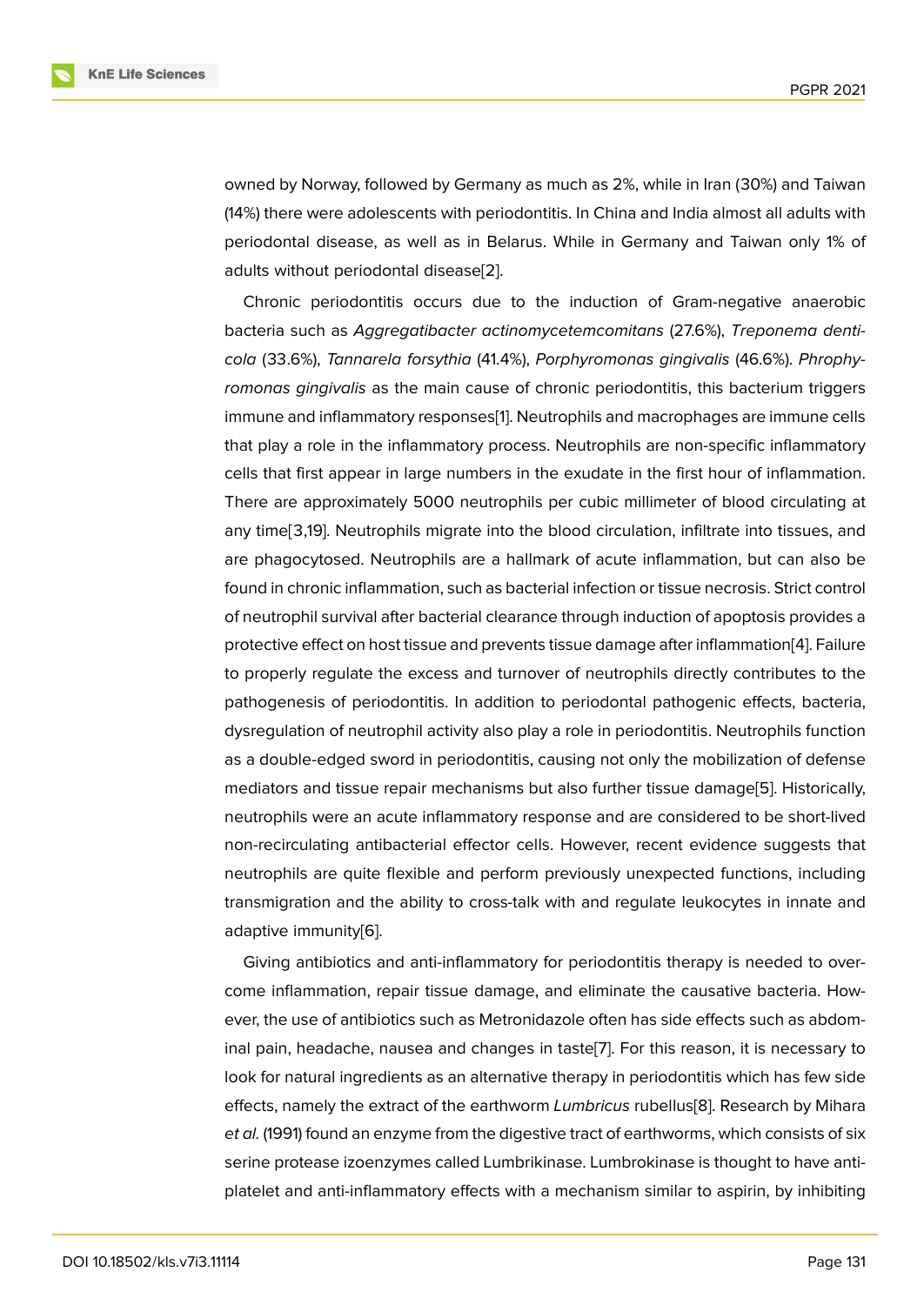owned by Norway, followed by Germany as much as 2%, while in Iran (30%) and Taiwan (14%) there were adolescents with periodontitis. In China and India almost all adults with periodontal disease, as well as in Belarus. While in Germany and Taiwan only 1% of adults without periodontal disease[2].

Chronic periodontitis occurs due to the induction of Gram-negative anaerobic bacteria such as *Aggregatibacter actinomycetemcomitans* (27.6%), *Treponema denticola* (33.6%), *Tannarela forsythia* ([41](#page-8-1).4%), *Porphyromonas gingivalis* (46.6%). *Phrophyromonas gingivalis* as the main cause of chronic periodontitis, this bacterium triggers immune and inflammatory responses[1]. Neutrophils and macrophages are immune cells that play a role in the inflammatory process. Neutrophils are non-specific inflammatory cells that first appear in large numbers in the exudate in the first hour of inflammation. There are approximately 5000 neutr[o](#page-8-0)phils per cubic millimeter of blood circulating at any time[3,19]. Neutrophils migrate into the blood circulation, infiltrate into tissues, and are phagocytosed. Neutrophils are a hallmark of acute inflammation, but can also be found in chronic inflammation, such as bacterial infection or tissue necrosis. Strict control of neutrophil survival after bacterial clearance through induction of apoptosis provides a protective effect on host tissue and prevents tissue damage after inflammation[4]. Failure to properly regulate the excess and turnover of neutrophils directly contributes to the pathogenesis of periodontitis. In addition to periodontal pathogenic effects, bacteria, dysregulation of neutrophil activity also play a role in periodontitis. Neutrophil[s](#page-8-2) function as a double-edged sword in periodontitis, causing not only the mobilization of defense mediators and tissue repair mechanisms but also further tissue damage[5]. Historically, neutrophils were an acute inflammatory response and are considered to be short-lived non-recirculating antibacterial effector cells. However, recent evidence suggests that neutrophils are quite flexible and perform previously unexpected funct[io](#page-8-3)ns, including transmigration and the ability to cross-talk with and regulate leukocytes in innate and adaptive immunity[6].

Giving antibiotics and anti-inflammatory for periodontitis therapy is needed to overcome inflammation, repair tissue damage, and eliminate the causative bacteria. However, the use of ant[ib](#page-8-4)iotics such as Metronidazole often has side effects such as abdominal pain, headache, nausea and changes in taste[7]. For this reason, it is necessary to look for natural ingredients as an alternative therapy in periodontitis which has few side effects, namely the extract of the earthworm *Lumbricus* rubellus[8]. Research by Mihara *et al.* (1991) found an enzyme from the digestive trac[t o](#page-8-5)f earthworms, which consists of six serine protease izoenzymes called Lumbrikinase. Lumbrokinase is thought to have antiplatelet and anti-inflammatory effects with a mechanism similar [to](#page-8-6) aspirin, by inhibiting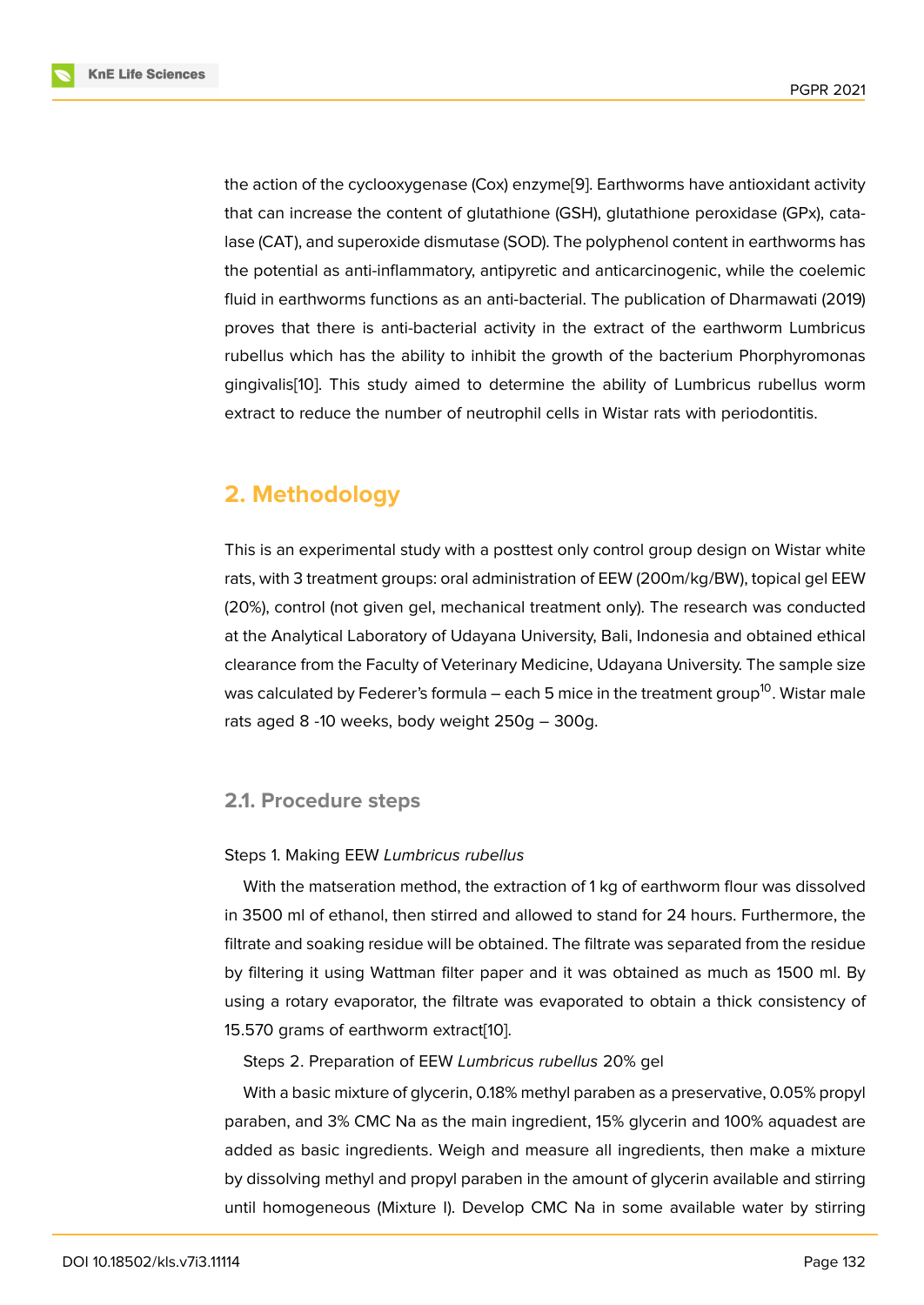the action of the cyclooxygenase (Cox) enzyme[9]. Earthworms have antioxidant activity that can increase the content of glutathione (GSH), glutathione peroxidase (GPx), catalase (CAT), and superoxide dismutase (SOD). The polyphenol content in earthworms has the potential as anti-inflammatory, antipyretic a[nd](#page-8-7) anticarcinogenic, while the coelemic fluid in earthworms functions as an anti-bacterial. The publication of Dharmawati (2019) proves that there is anti-bacterial activity in the extract of the earthworm Lumbricus rubellus which has the ability to inhibit the growth of the bacterium Phorphyromonas gingivalis[10]. This study aimed to determine the ability of Lumbricus rubellus worm extract to reduce the number of neutrophil cells in Wistar rats with periodontitis.

# **2. Methodology**

This is an experimental study with a posttest only control group design on Wistar white rats, with 3 treatment groups: oral administration of EEW (200m/kg/BW), topical gel EEW (20%), control (not given gel, mechanical treatment only). The research was conducted at the Analytical Laboratory of Udayana University, Bali, Indonesia and obtained ethical clearance from the Faculty of Veterinary Medicine, Udayana University. The sample size was calculated by Federer's formula – each 5 mice in the treatment group<sup>10</sup>. Wistar male rats aged 8 -10 weeks, body weight 250g – 300g.

### **2.1. Procedure steps**

### Steps 1. Making EEW *Lumbricus rubellus*

With the matseration method, the extraction of 1 kg of earthworm flour was dissolved in 3500 ml of ethanol, then stirred and allowed to stand for 24 hours. Furthermore, the filtrate and soaking residue will be obtained. The filtrate was separated from the residue by filtering it using Wattman filter paper and it was obtained as much as 1500 ml. By using a rotary evaporator, the filtrate was evaporated to obtain a thick consistency of 15.570 grams of earthworm extract[10].

Steps 2. Preparation of EEW *Lumbricus rubellus* 20% gel

With a basic mixture of glycerin, 0.18% methyl paraben as a preservative, 0.05% propyl paraben, and 3% CMC Na as the m[ain](#page-8-8) ingredient, 15% glycerin and 100% aquadest are added as basic ingredients. Weigh and measure all ingredients, then make a mixture by dissolving methyl and propyl paraben in the amount of glycerin available and stirring until homogeneous (Mixture I). Develop CMC Na in some available water by stirring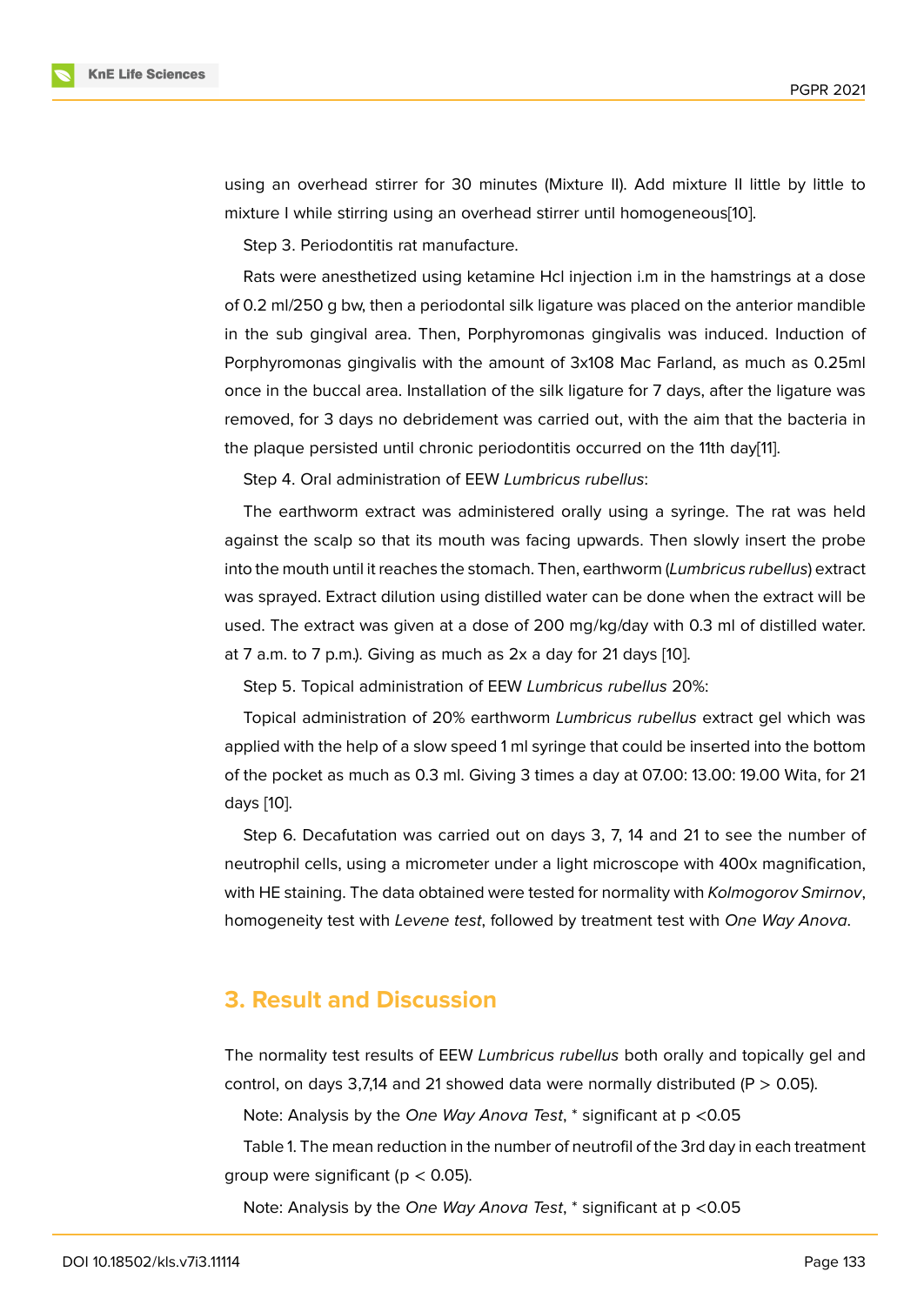using an overhead stirrer for 30 minutes (Mixture II). Add mixture II little by little to mixture I while stirring using an overhead stirrer until homogeneous[10].

Step 3. Periodontitis rat manufacture.

Rats were anesthetized using ketamine Hcl injection i.m in the ha[ms](#page-8-8)trings at a dose of 0.2 ml/250 g bw, then a periodontal silk ligature was placed on the anterior mandible in the sub gingival area. Then, Porphyromonas gingivalis was induced. Induction of Porphyromonas gingivalis with the amount of 3x108 Mac Farland, as much as 0.25ml once in the buccal area. Installation of the silk ligature for 7 days, after the ligature was removed, for 3 days no debridement was carried out, with the aim that the bacteria in the plaque persisted until chronic periodontitis occurred on the 11th day[11].

Step 4. Oral administration of EEW *Lumbricus rubellus*:

The earthworm extract was administered orally using a syringe. Th[e r](#page-9-0)at was held against the scalp so that its mouth was facing upwards. Then slowly insert the probe into the mouth until it reaches the stomach. Then, earthworm (*Lumbricus rubellus*) extract was sprayed. Extract dilution using distilled water can be done when the extract will be used. The extract was given at a dose of 200 mg/kg/day with 0.3 ml of distilled water. at 7 a.m. to 7 p.m.). Giving as much as 2x a day for 21 days [10].

Step 5. Topical administration of EEW *Lumbricus rubellus* 20%:

Topical administration of 20% earthworm *Lumbricus rubellus* extract gel which was applied with the help of a slow speed 1 ml syringe that could [be](#page-8-8) inserted into the bottom of the pocket as much as 0.3 ml. Giving 3 times a day at 07.00: 13.00: 19.00 Wita, for 21 days [10].

Step 6. Decafutation was carried out on days 3, 7, 14 and 21 to see the number of neutrophil cells, using a micrometer under a light microscope with 400x magnification, with [HE](#page-8-8) staining. The data obtained were tested for normality with *Kolmogorov Smirnov*, homogeneity test with *Levene test*, followed by treatment test with *One Way Anova*.

### **3. Result and Discussion**

The normality test results of EEW *Lumbricus rubellus* both orally and topically gel and control, on days 3,7,14 and 21 showed data were normally distributed ( $P > 0.05$ ).

Note: Analysis by the *One Way Anova Test*, \* significant at p <0.05

Table 1. The mean reduction in the number of neutrofil of the 3rd day in each treatment group were significant ( $p < 0.05$ ).

Note: Analysis by the *One Way Anova Test*, \* significant at p <0.05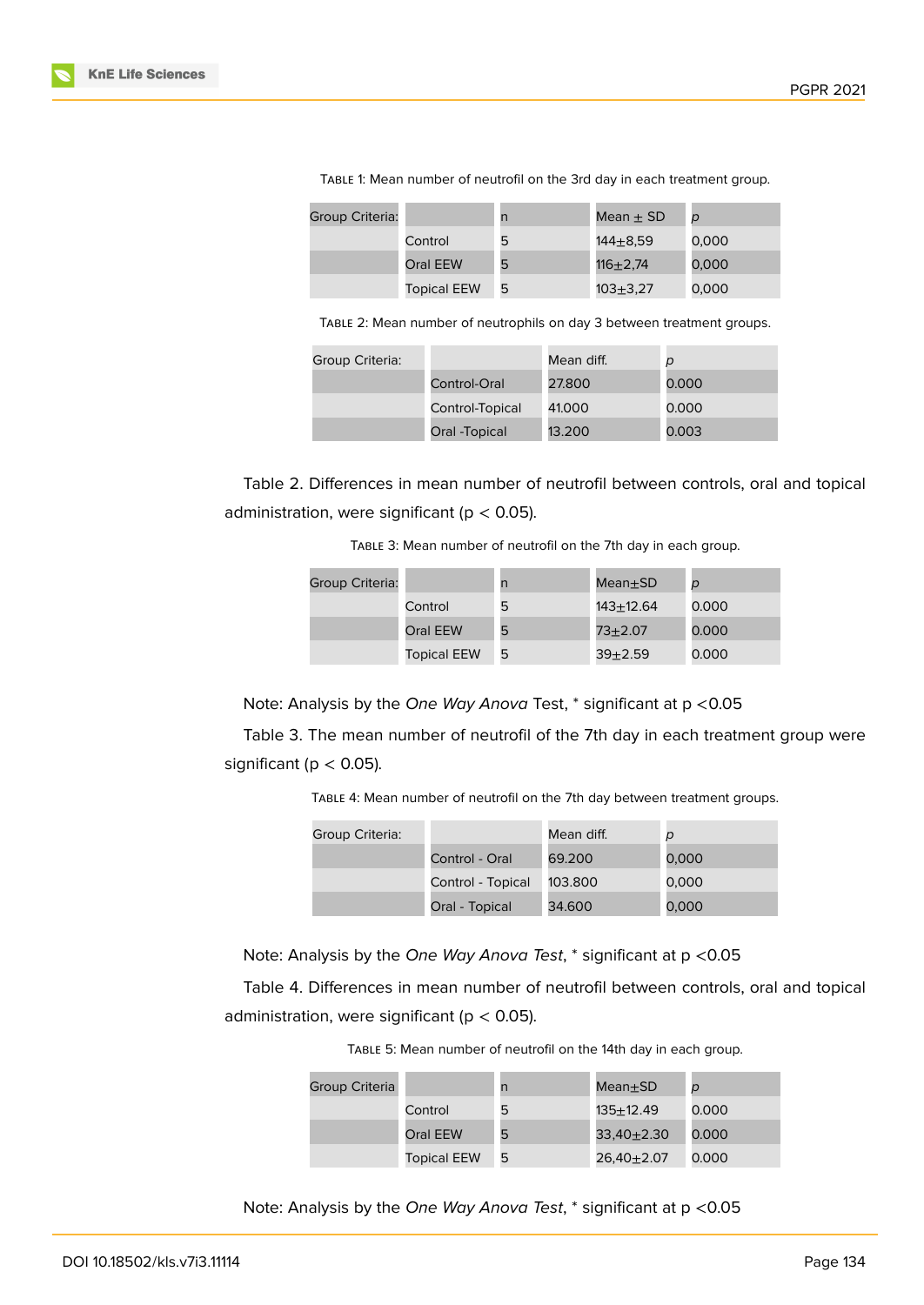| Group Criteria: |                    |   | Mean $\pm$ SD | $\overline{D}$ |
|-----------------|--------------------|---|---------------|----------------|
|                 | Control            | 5 | 144+8.59      | 0,000          |
|                 |                    |   |               |                |
|                 | Oral EEW           | 5 | $116 + 2.74$  | 0,000          |
|                 | <b>Topical EEW</b> | 5 | $103 + 3.27$  | 0,000          |

Table 1: Mean number of neutrofil on the 3rd day in each treatment group.

Table 2: Mean number of neutrophils on day 3 between treatment groups.

| Group Criteria: |                 | Mean diff. | $\mathcal{D}$ |
|-----------------|-----------------|------------|---------------|
|                 | Control-Oral    | 27.800     | 0.000         |
|                 | Control-Topical | 41.000     | 0.000         |
|                 | Oral -Topical   | 13.200     | 0.003         |

Table 2. Differences in mean number of neutrofil between controls, oral and topical administration, were significant ( $p < 0.05$ ).

Table 3: Mean number of neutrofil on the 7th day in each group.

| Group Criteria: |                    | n | $Mean \pm SD$ | $\mathcal{D}$ |
|-----------------|--------------------|---|---------------|---------------|
|                 | Control            | 5 | 143+12.64     | 0.000         |
|                 | <b>Oral EEW</b>    | 5 | $73 + 2.07$   | 0.000         |
|                 | <b>Topical EEW</b> | 5 | $39 + 2.59$   | 0.000         |

Note: Analysis by the *One Way Anova* Test, \* significant at p <0.05

Table 3. The mean number of neutrofil of the 7th day in each treatment group were significant ( $p < 0.05$ ).

Table 4: Mean number of neutrofil on the 7th day between treatment groups.

| Group Criteria: |                   | Mean diff. | D     |
|-----------------|-------------------|------------|-------|
|                 | Control - Oral    | 69.200     | 0,000 |
|                 | Control - Topical | 103.800    | 0,000 |
|                 | Oral - Topical    | 34.600     | 0,000 |

Note: Analysis by the *One Way Anova Test*, \* significant at p <0.05

Table 4. Differences in mean number of neutrofil between controls, oral and topical administration, were significant ( $p < 0.05$ ).

Table 5: Mean number of neutrofil on the 14th day in each group.

| <b>Group Criteria</b> |                    | n | $Mean \pm SD$  | $\mathcal{D}$ |
|-----------------------|--------------------|---|----------------|---------------|
|                       | Control            | 5 | 135+12.49      | 0.000         |
|                       | Oral EEW           | 5 | $33.40 + 2.30$ | 0.000         |
|                       | <b>Topical EEW</b> | 5 | $26.40 + 2.07$ | 0.000         |

Note: Analysis by the *One Way Anova Test*, \* significant at p <0.05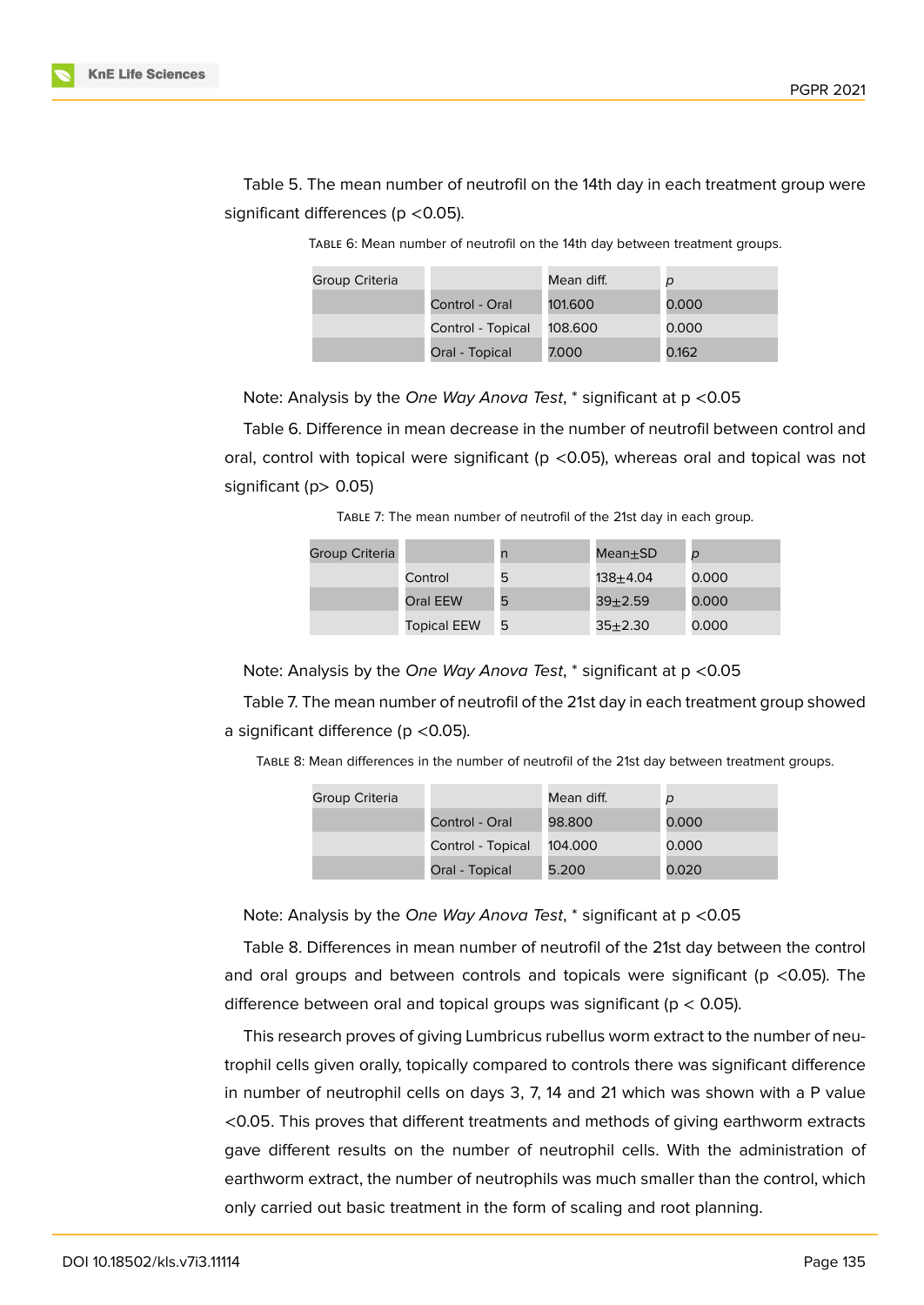

Table 5. The mean number of neutrofil on the 14th day in each treatment group were significant differences (p < 0.05).

> Group Criteria Mean diff. *p* Control - Oral 101.600 0.000 Control - Topical 108.600 0.000 Oral - Topical 7.000 0.162

Table 6: Mean number of neutrofil on the 14th day between treatment groups.

Note: Analysis by the *One Way Anova Test*, \* significant at p <0.05

Table 6. Difference in mean decrease in the number of neutrofil between control and oral, control with topical were significant ( $p$  <0.05), whereas oral and topical was not significant (p> 0.05)

Table 7: The mean number of neutrofil of the 21st day in each group.

| Group Criteria |                    |   | Mean $\pm$ SD | D     |
|----------------|--------------------|---|---------------|-------|
|                | Control            | ь | 138+4.04      | 0.000 |
|                | Oral EEW           | 5 | $39 + 2.59$   | 0.000 |
|                | <b>Topical EEW</b> | 5 | $35 + 2.30$   | 0.000 |

Note: Analysis by the *One Way Anova Test*, \* significant at p <0.05

Table 7. The mean number of neutrofil of the 21st day in each treatment group showed a significant difference (p <0.05).

Table 8: Mean differences in the number of neutrofil of the 21st day between treatment groups.

| Group Criteria |                   | Mean diff. | p     |
|----------------|-------------------|------------|-------|
|                | Control - Oral    | 98.800     | 0.000 |
|                | Control - Topical | 104.000    | 0.000 |
|                | Oral - Topical    | 5.200      | 0.020 |

Note: Analysis by the *One Way Anova Test*, \* significant at p <0.05

Table 8. Differences in mean number of neutrofil of the 21st day between the control and oral groups and between controls and topicals were significant ( $p$  <0.05). The difference between oral and topical groups was significant ( $p < 0.05$ ).

This research proves of giving Lumbricus rubellus worm extract to the number of neutrophil cells given orally, topically compared to controls there was significant difference in number of neutrophil cells on days 3, 7, 14 and 21 which was shown with a P value <0.05. This proves that different treatments and methods of giving earthworm extracts gave different results on the number of neutrophil cells. With the administration of earthworm extract, the number of neutrophils was much smaller than the control, which only carried out basic treatment in the form of scaling and root planning.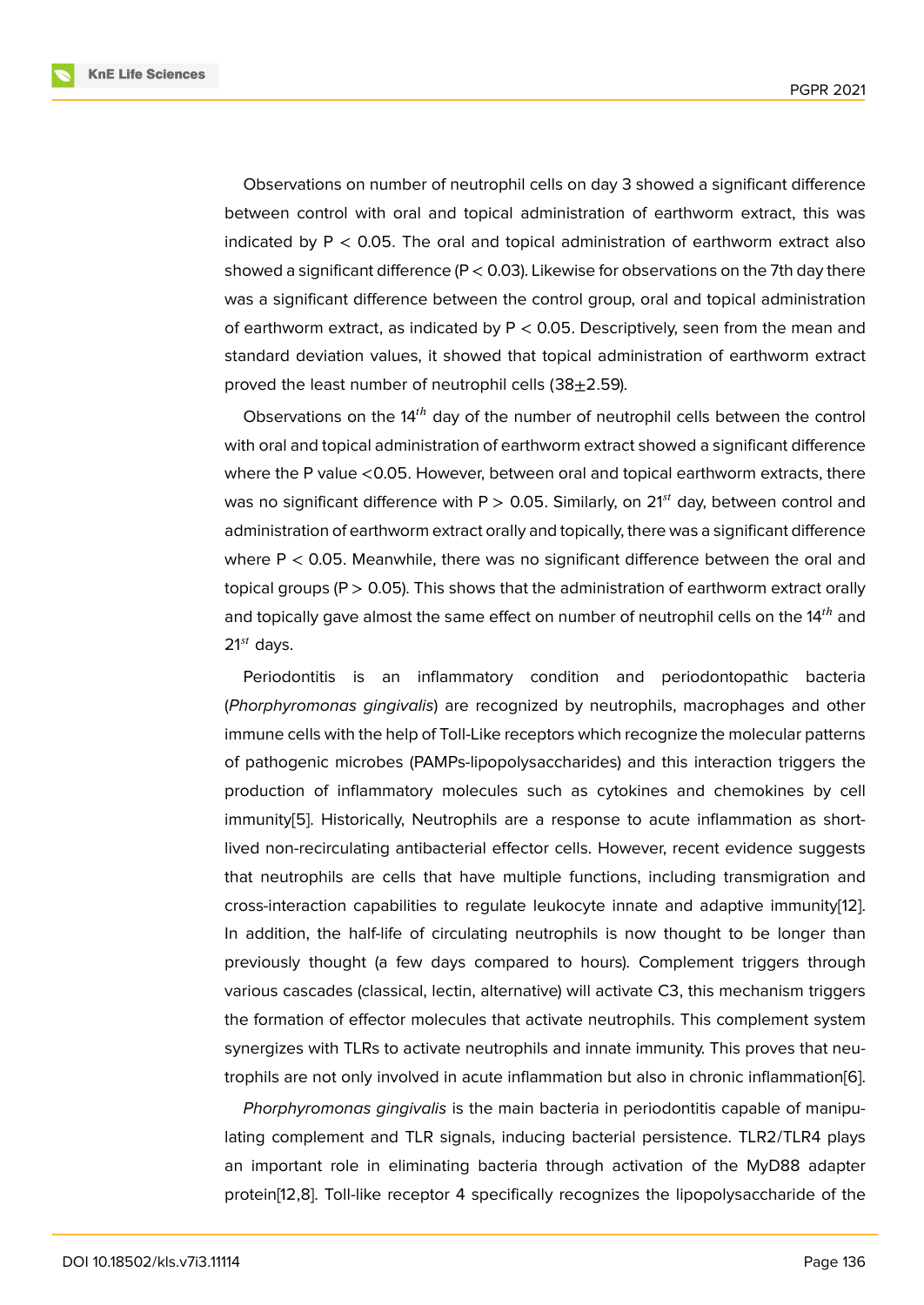Observations on number of neutrophil cells on day 3 showed a significant difference between control with oral and topical administration of earthworm extract, this was indicated by  $P < 0.05$ . The oral and topical administration of earthworm extract also showed a significant difference ( $P < 0.03$ ). Likewise for observations on the 7th day there was a significant difference between the control group, oral and topical administration of earthworm extract, as indicated by  $P < 0.05$ . Descriptively, seen from the mean and standard deviation values, it showed that topical administration of earthworm extract proved the least number of neutrophil cells  $(38+2.59)$ .

Observations on the  $14<sup>th</sup>$  day of the number of neutrophil cells between the control with oral and topical administration of earthworm extract showed a significant difference where the P value <0.05. However, between oral and topical earthworm extracts, there was no significant difference with  $P > 0.05$ . Similarly, on 21<sup>st</sup> day, between control and administration of earthworm extract orally and topically, there was a significant difference where  $P < 0.05$ . Meanwhile, there was no significant difference between the oral and topical groups (P > 0.05). This shows that the administration of earthworm extract orally and topically gave almost the same effect on number of neutrophil cells on the  $14<sup>th</sup>$  and  $21^{st}$  days.

Periodontitis is an inflammatory condition and periodontopathic bacteria (*Phorphyromonas gingivalis*) are recognized by neutrophils, macrophages and other immune cells with the help of Toll-Like receptors which recognize the molecular patterns of pathogenic microbes (PAMPs-lipopolysaccharides) and this interaction triggers the production of inflammatory molecules such as cytokines and chemokines by cell immunity[5]. Historically, Neutrophils are a response to acute inflammation as shortlived non-recirculating antibacterial effector cells. However, recent evidence suggests that neutrophils are cells that have multiple functions, including transmigration and cross-inte[ra](#page-8-3)ction capabilities to regulate leukocyte innate and adaptive immunity[12]. In addition, the half-life of circulating neutrophils is now thought to be longer than previously thought (a few days compared to hours). Complement triggers through various cascades (classical, lectin, alternative) will activate C3, this mechanism trig[ger](#page-9-1)s the formation of effector molecules that activate neutrophils. This complement system synergizes with TLRs to activate neutrophils and innate immunity. This proves that neutrophils are not only involved in acute inflammation but also in chronic inflammation[6].

*Phorphyromonas gingivalis* is the main bacteria in periodontitis capable of manipulating complement and TLR signals, inducing bacterial persistence. TLR2/TLR4 plays an important role in eliminating bacteria through activation of the MyD88 adap[te](#page-8-4)r protein[12,8]. Toll-like receptor 4 specifically recognizes the lipopolysaccharide of the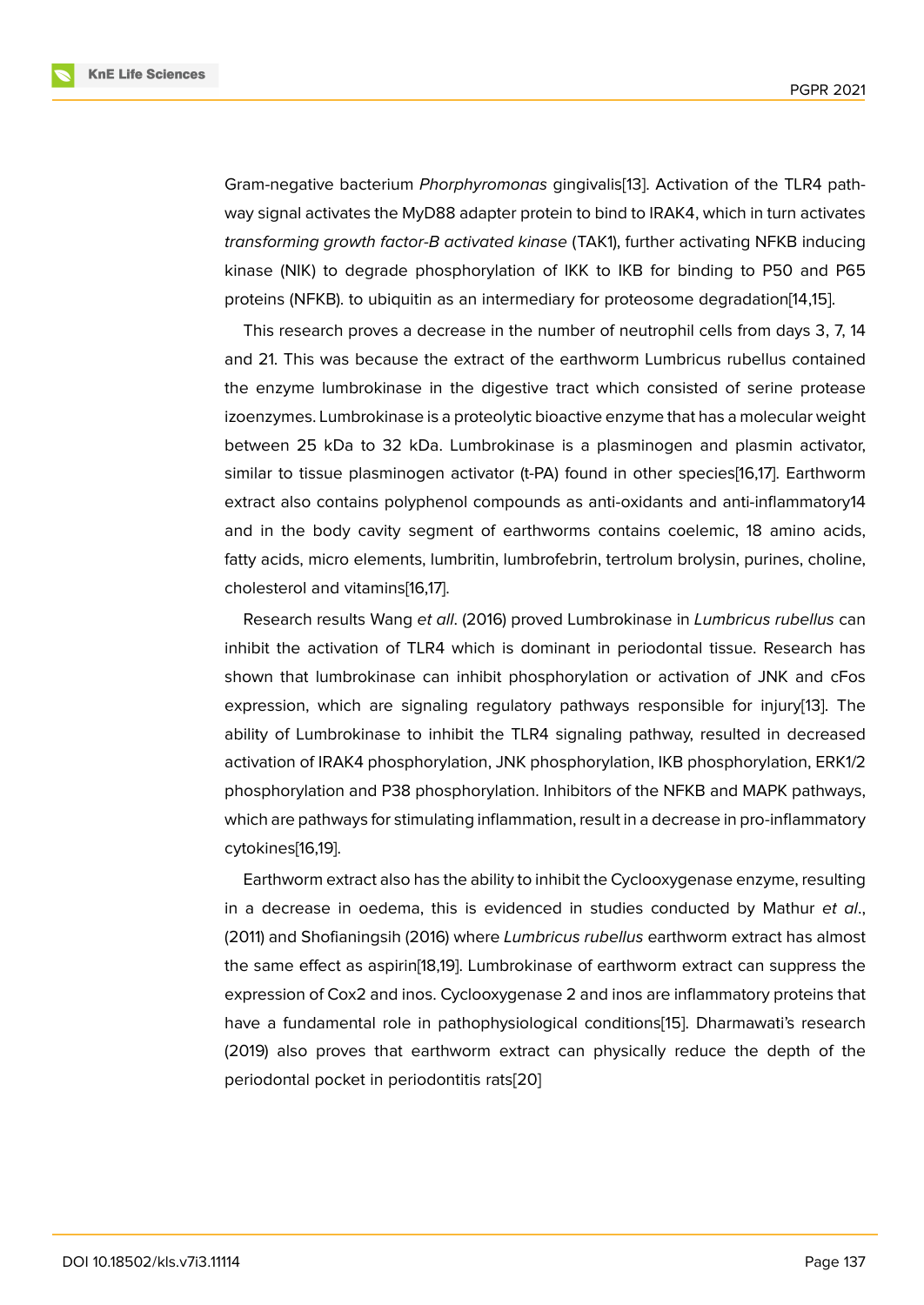Gram-negative bacterium *Phorphyromonas* gingivalis[13]. Activation of the TLR4 pathway signal activates the MyD88 adapter protein to bind to IRAK4, which in turn activates *transforming growth factor-B activated kinase* (TAK1), further activating NFKB inducing kinase (NIK) to degrade phosphorylation of IKK to I[KB](#page-9-2) for binding to P50 and P65 proteins (NFKB). to ubiquitin as an intermediary for proteosome degradation[14,15].

This research proves a decrease in the number of neutrophil cells from days 3, 7, 14 and 21. This was because the extract of the earthworm Lumbricus rubellus contained the enzyme lumbrokinase in the digestive tract which consisted of serine protease izoenzymes. Lumbrokinase is a proteolytic bioactive enzyme that has a molecular weight between 25 kDa to 32 kDa. Lumbrokinase is a plasminogen and plasmin activator, similar to tissue plasminogen activator (t-PA) found in other species[16,17]. Earthworm extract also contains polyphenol compounds as anti-oxidants and anti-inflammatory14 and in the body cavity segment of earthworms contains coelemic, 18 amino acids, fatty acids, micro elements, lumbritin, lumbrofebrin, tertrolum brolysin, purines, choline, cholesterol and vitamins[16,17].

Research results Wang *et all*. (2016) proved Lumbrokinase in *Lumbricus rubellus* can inhibit the activation of TLR4 which is dominant in periodontal tissue. Research has shown that lumbrokinase can inhibit phosphorylation or activation of JNK and cFos expression, which are signaling regulatory pathways responsible for injury[13]. The ability of Lumbrokinase to inhibit the TLR4 signaling pathway, resulted in decreased activation of IRAK4 phosphorylation, JNK phosphorylation, IKB phosphorylation, ERK1/2 phosphorylation and P38 phosphorylation. Inhibitors of the NFKB and MAPK p[ath](#page-9-2)ways, which are pathways for stimulating inflammation, result in a decrease in pro-inflammatory cytokines[16,19].

Earthworm extract also has the ability to inhibit the Cyclooxygenase enzyme, resulting in a decrease in oedema, this is evidenced in studies conducted by Mathur *et al*., (2011) and Shofianingsih (2016) where *Lumbricus rubellus* earthworm extract has almost the same effect as aspirin[18,19]. Lumbrokinase of earthworm extract can suppress the expression of Cox2 and inos. Cyclooxygenase 2 and inos are inflammatory proteins that have a fundamental role in pathophysiological conditions[15]. Dharmawati's research (2019) also proves that earthworm extract can physically reduce the depth of the periodontal pocket in periodontitis rats[20]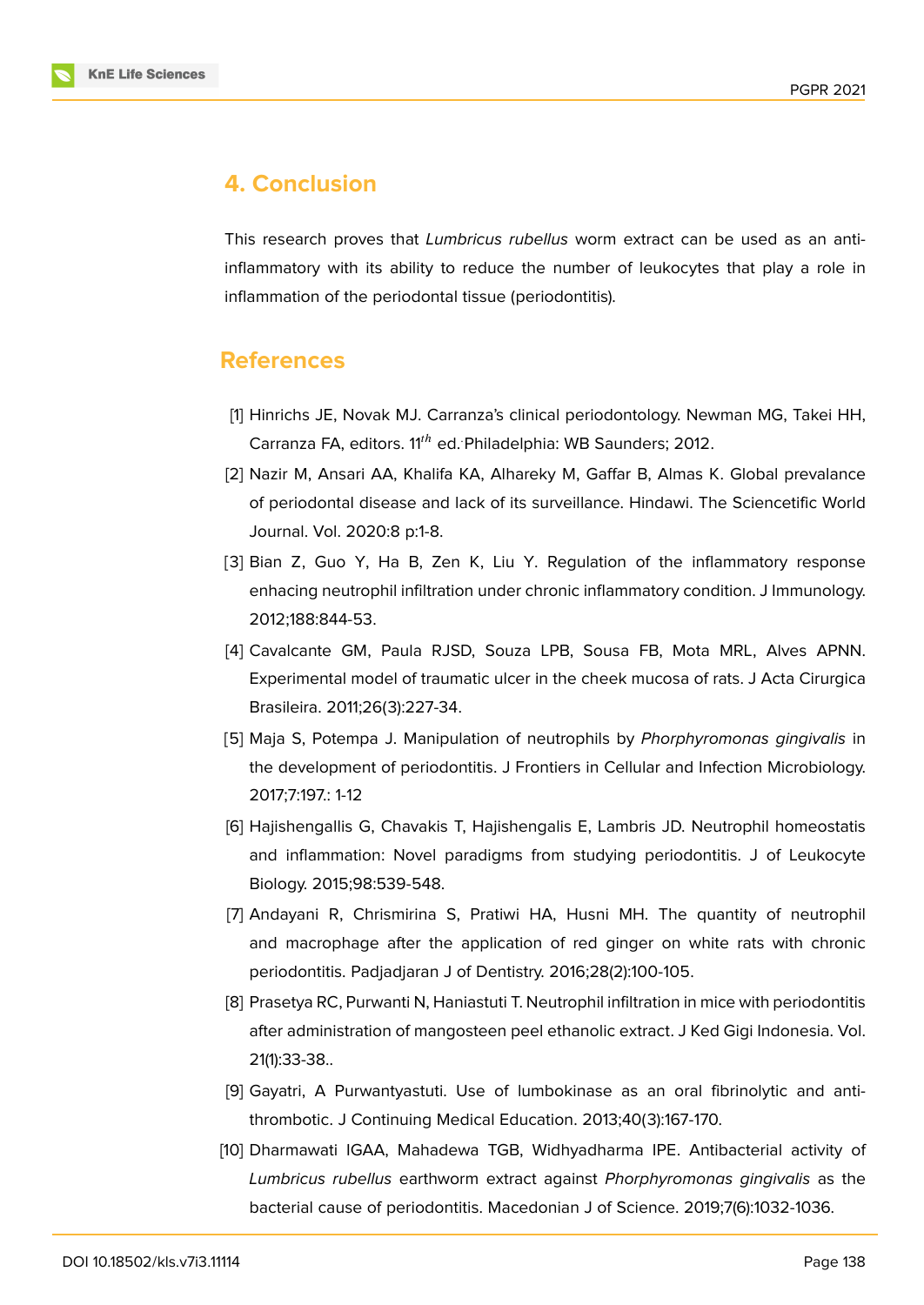

# **4. Conclusion**

This research proves that *Lumbricus rubellus* worm extract can be used as an antiinflammatory with its ability to reduce the number of leukocytes that play a role in inflammation of the periodontal tissue (periodontitis).

## **References**

- <span id="page-8-0"></span>[1] Hinrichs JE, Novak MJ. Carranza's clinical periodontology. Newman MG, Takei HH, Carranza FA, editors. 11<sup>th</sup> ed. Philadelphia: WB Saunders; 2012.
- <span id="page-8-1"></span>[2] Nazir M, Ansari AA, Khalifa KA, Alhareky M, Gaffar B, Almas K. Global prevalance of periodontal disease and lack of its surveillance. Hindawi. The Sciencetific World Journal. Vol. 2020:8 p:1-8.
- [3] Bian Z, Guo Y, Ha B, Zen K, Liu Y. Regulation of the inflammatory response enhacing neutrophil infiltration under chronic inflammatory condition. J Immunology. 2012;188:844-53.
- <span id="page-8-2"></span>[4] Cavalcante GM, Paula RJSD, Souza LPB, Sousa FB, Mota MRL, Alves APNN. Experimental model of traumatic ulcer in the cheek mucosa of rats. J Acta Cirurgica Brasileira. 2011;26(3):227-34.
- <span id="page-8-3"></span>[5] Maja S, Potempa J. Manipulation of neutrophils by *Phorphyromonas gingivalis* in the development of periodontitis. J Frontiers in Cellular and Infection Microbiology. 2017;7:197.: 1-12
- <span id="page-8-4"></span>[6] Hajishengallis G, Chavakis T, Hajishengalis E, Lambris JD. Neutrophil homeostatis and inflammation: Novel paradigms from studying periodontitis. J of Leukocyte Biology. 2015;98:539-548.
- <span id="page-8-5"></span>[7] Andayani R, Chrismirina S, Pratiwi HA, Husni MH. The quantity of neutrophil and macrophage after the application of red ginger on white rats with chronic periodontitis. Padjadjaran J of Dentistry. 2016;28(2):100-105.
- <span id="page-8-6"></span>[8] Prasetya RC, Purwanti N, Haniastuti T. Neutrophil infiltration in mice with periodontitis after administration of mangosteen peel ethanolic extract. J Ked Gigi Indonesia. Vol. 21(1):33-38..
- <span id="page-8-7"></span>[9] Gayatri, A Purwantyastuti. Use of lumbokinase as an oral fibrinolytic and antithrombotic. J Continuing Medical Education. 2013;40(3):167-170.
- <span id="page-8-8"></span>[10] Dharmawati IGAA, Mahadewa TGB, Widhyadharma IPE. Antibacterial activity of *Lumbricus rubellus* earthworm extract against *Phorphyromonas gingivalis* as the bacterial cause of periodontitis. Macedonian J of Science. 2019;7(6):1032-1036.